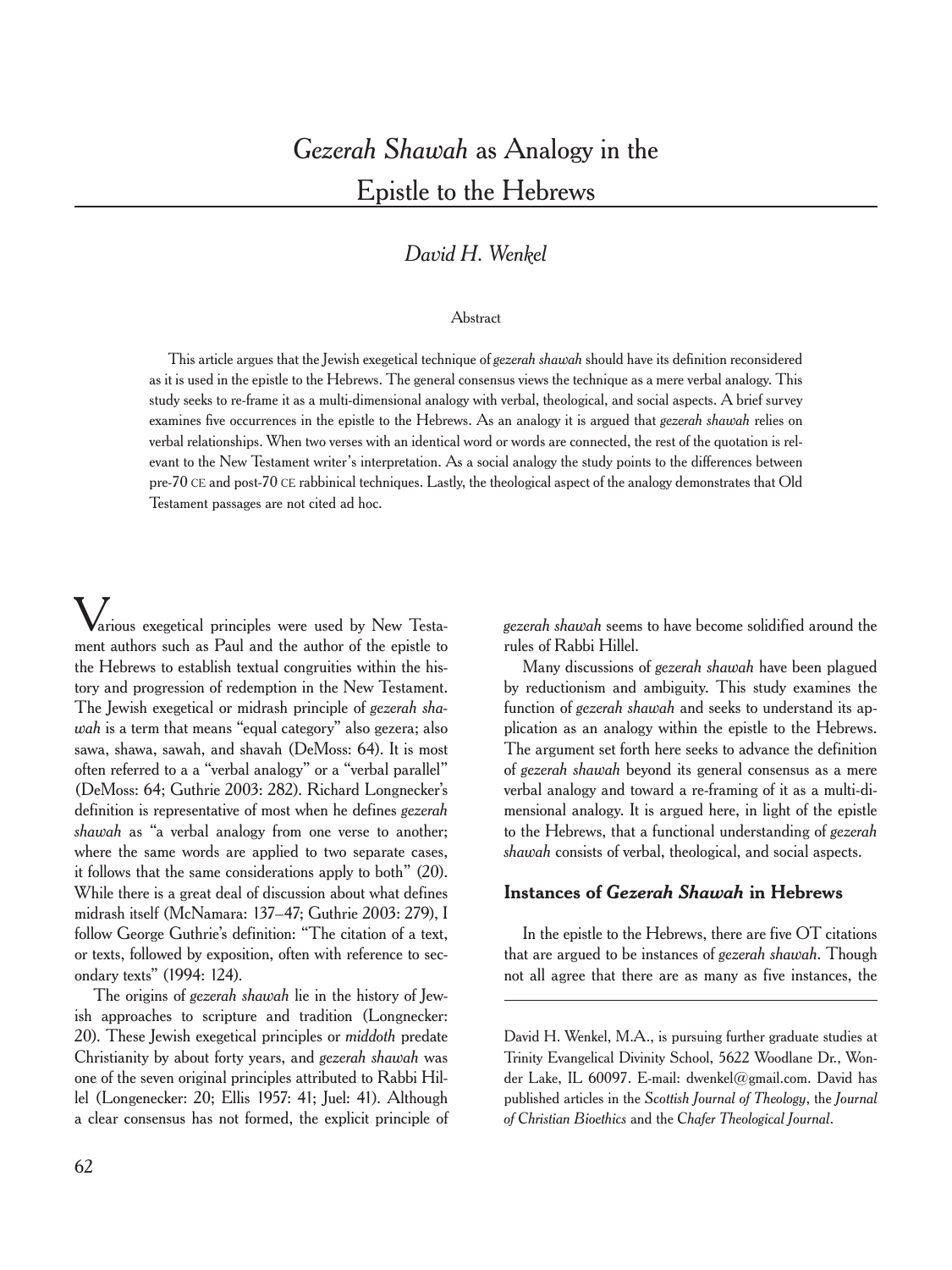# *Gezerah Shawah* as Analogy in the Epistle to the Hebrews

## *David H. Wenkel*

#### Abstract

This article argues that the Jewish exegetical technique of *gezerah shawah* should have its definition reconsidered as it is used in the epistle to the Hebrews. The general consensus views the technique as a mere verbal analogy. This study seeks to re-frame it as a multi-dimensional analogy with verbal, theological, and social aspects. A brief survey examines five occurrences in the epistle to the Hebrews. As an analogy it is argued that *gezerah shawah* relies on verbal relationships. When two verses with an identical word or words are connected, the rest of the quotation is relevant to the New Testament writer's interpretation. As a social analogy the study points to the differences between pre-70 ce and post-70 ce rabbinical techniques. Lastly, the theological aspect of the analogy demonstrates that Old Testament passages are not cited ad hoc.

Various exegetical principles were used by New Testament authors such as Paul and the author of the epistle to the Hebrews to establish textual congruities within the history and progression of redemption in the New Testament. The Jewish exegetical or midrash principle of *gezerah shawah* is a term that means "equal category" also gezera; also sawa, shawa, sawah, and shavah (DeMoss: 64). It is most often referred to a a "verbal analogy" or a "verbal parallel" (DeMoss: 64; Guthrie 2003: 282). Richard Longnecker's definition is representative of most when he defines *gezerah shawah* as "a verbal analogy from one verse to another; where the same words are applied to two separate cases, it follows that the same considerations apply to both" (20). While there is a great deal of discussion about what defines midrash itself (McNamara: 137–47; Guthrie 2003: 279), I follow George Guthrie's definition: "The citation of a text, or texts, followed by exposition, often with reference to secondary texts" (1994: 124).

The origins of *gezerah shawah* lie in the history of Jewish approaches to scripture and tradition (Longnecker: 20). These Jewish exegetical principles or *middoth* predate Christianity by about forty years, and *gezerah shawah* was one of the seven original principles attributed to Rabbi Hillel (Longenecker: 20; Ellis 1957: 41; Juel: 41). Although a clear consensus has not formed, the explicit principle of *gezerah shawah* seems to have become solidified around the rules of Rabbi Hillel.

Many discussions of *gezerah shawah* have been plagued by reductionism and ambiguity. This study examines the function of *gezerah shawah* and seeks to understand its application as an analogy within the epistle to the Hebrews. The argument set forth here seeks to advance the definition of *gezerah shawah* beyond its general consensus as a mere verbal analogy and toward a re-framing of it as a multi-dimensional analogy. It is argued here, in light of the epistle to the Hebrews, that a functional understanding of *gezerah shawah* consists of verbal, theological, and social aspects.

### **Instances of** *Gezerah Shawah* **in Hebrews**

In the epistle to the Hebrews, there are five OT citations that are argued to be instances of *gezerah shawah*. Though not all agree that there are as many as five instances, the

David H. Wenkel, M.A., is pursuing further graduate studies at Trinity Evangelical Divinity School, 5622 Woodlane Dr., Wonder Lake, IL 60097. E-mail: dwenkel@gmail.com. David has published articles in the *Scottish Journal of Theology*, the *Journal of Christian Bioethics* and the *Chafer Theological Journal*.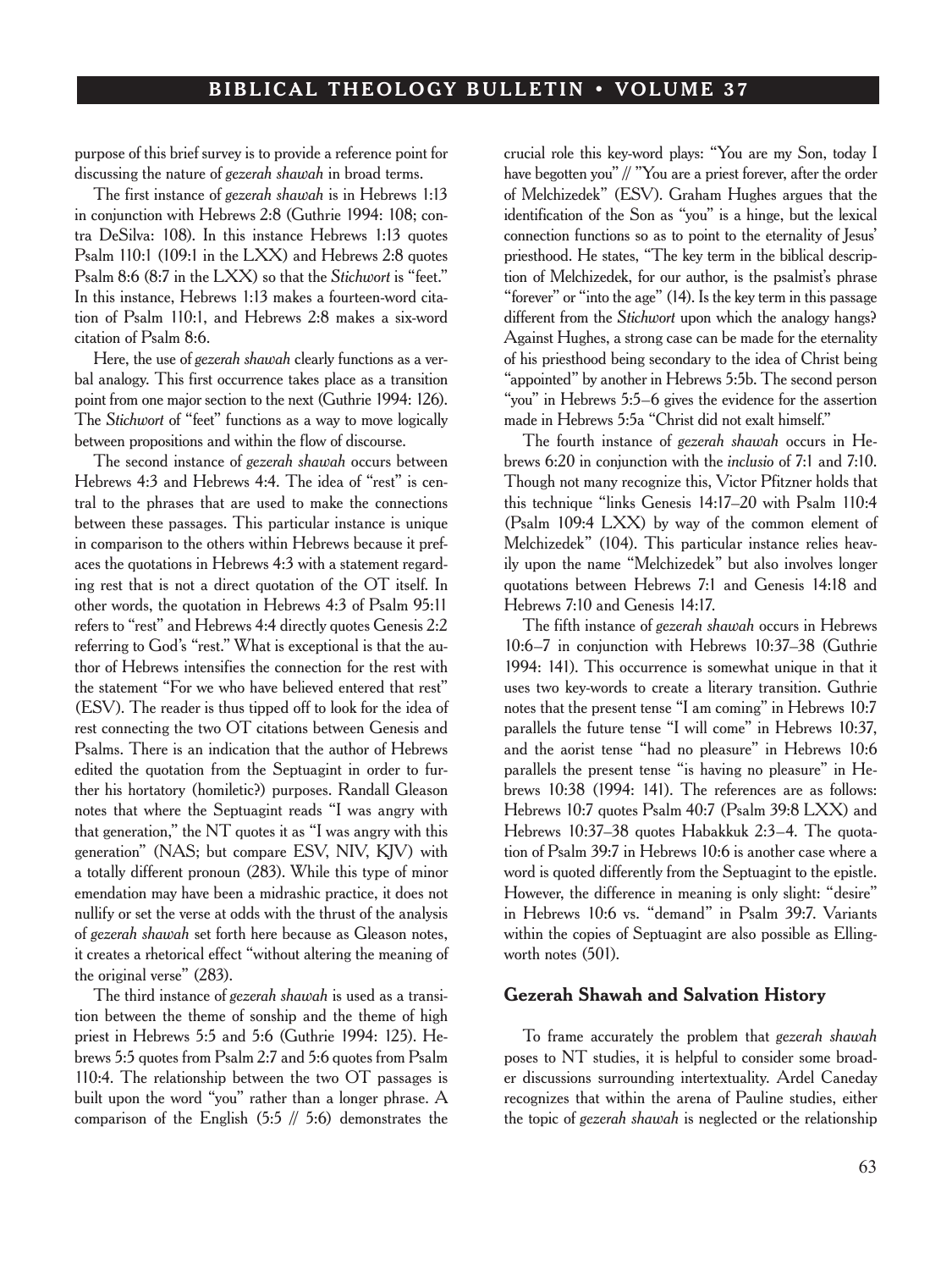## **BIBLICAL THEOLOGY BULLETIN • VOLUME 37**

purpose of this brief survey is to provide a reference point for discussing the nature of *gezerah shawah* in broad terms.

The first instance of *gezerah shawah* is in Hebrews 1:13 in conjunction with Hebrews 2:8 (Guthrie 1994: 108; contra DeSilva: 108). In this instance Hebrews 1:13 quotes Psalm 110:1 (109:1 in the LXX) and Hebrews 2:8 quotes Psalm 8:6 (8:7 in the LXX) so that the *Stichwort* is "feet." In this instance, Hebrews 1:13 makes a fourteen-word citation of Psalm 110:1, and Hebrews 2:8 makes a six-word citation of Psalm 8:6.

Here, the use of *gezerah shawah* clearly functions as a verbal analogy. This first occurrence takes place as a transition point from one major section to the next (Guthrie 1994: 126). The *Stichwort* of "feet" functions as a way to move logically between propositions and within the flow of discourse.

The second instance of *gezerah shawah* occurs between Hebrews 4:3 and Hebrews 4:4. The idea of "rest" is central to the phrases that are used to make the connections between these passages. This particular instance is unique in comparison to the others within Hebrews because it prefaces the quotations in Hebrews 4:3 with a statement regarding rest that is not a direct quotation of the OT itself. In other words, the quotation in Hebrews 4:3 of Psalm 95:11 refers to "rest" and Hebrews 4:4 directly quotes Genesis 2:2 referring to God's "rest." What is exceptional is that the author of Hebrews intensifies the connection for the rest with the statement "For we who have believed entered that rest" (ESV). The reader is thus tipped off to look for the idea of rest connecting the two OT citations between Genesis and Psalms. There is an indication that the author of Hebrews edited the quotation from the Septuagint in order to further his hortatory (homiletic?) purposes. Randall Gleason notes that where the Septuagint reads "I was angry with that generation," the NT quotes it as "I was angry with this generation" (NAS; but compare ESV, NIV, KJV) with a totally different pronoun (283). While this type of minor emendation may have been a midrashic practice, it does not nullify or set the verse at odds with the thrust of the analysis of *gezerah shawah* set forth here because as Gleason notes, it creates a rhetorical effect "without altering the meaning of the original verse" (283).

The third instance of *gezerah shawah* is used as a transition between the theme of sonship and the theme of high priest in Hebrews 5:5 and 5:6 (Guthrie 1994: 125). Hebrews 5:5 quotes from Psalm 2:7 and 5:6 quotes from Psalm 110:4. The relationship between the two OT passages is built upon the word "you" rather than a longer phrase. A comparison of the English  $(5:5 \# 5:6)$  demonstrates the crucial role this key-word plays: "You are my Son, today I have begotten you" // "You are a priest forever, after the order of Melchizedek" (ESV). Graham Hughes argues that the identification of the Son as "you" is a hinge, but the lexical connection functions so as to point to the eternality of Jesus' priesthood. He states, "The key term in the biblical description of Melchizedek, for our author, is the psalmist's phrase "forever" or "into the age" (14). Is the key term in this passage different from the *Stichwort* upon which the analogy hangs? Against Hughes, a strong case can be made for the eternality of his priesthood being secondary to the idea of Christ being "appointed" by another in Hebrews 5:5b. The second person "you" in Hebrews 5:5–6 gives the evidence for the assertion made in Hebrews 5:5a "Christ did not exalt himself."

The fourth instance of *gezerah shawah* occurs in Hebrews 6:20 in conjunction with the *inclusio* of 7:1 and 7:10. Though not many recognize this, Victor Pfitzner holds that this technique "links Genesis 14:17–20 with Psalm 110:4 (Psalm 109:4 LXX) by way of the common element of Melchizedek" (104). This particular instance relies heavily upon the name "Melchizedek" but also involves longer quotations between Hebrews 7:1 and Genesis 14:18 and Hebrews 7:10 and Genesis 14:17.

The fifth instance of *gezerah shawah* occurs in Hebrews 10:6–7 in conjunction with Hebrews 10:37–38 (Guthrie 1994: 141). This occurrence is somewhat unique in that it uses two key-words to create a literary transition. Guthrie notes that the present tense "I am coming" in Hebrews 10:7 parallels the future tense "I will come" in Hebrews 10:37, and the aorist tense "had no pleasure" in Hebrews 10:6 parallels the present tense "is having no pleasure" in Hebrews 10:38 (1994: 141). The references are as follows: Hebrews 10:7 quotes Psalm 40:7 (Psalm 39:8 LXX) and Hebrews 10:37–38 quotes Habakkuk 2:3–4. The quotation of Psalm 39:7 in Hebrews 10:6 is another case where a word is quoted differently from the Septuagint to the epistle. However, the difference in meaning is only slight: "desire" in Hebrews 10:6 vs. "demand" in Psalm 39:7. Variants within the copies of Septuagint are also possible as Ellingworth notes (501).

## **Gezerah Shawah and Salvation History**

To frame accurately the problem that *gezerah shawah* poses to NT studies, it is helpful to consider some broader discussions surrounding intertextuality. Ardel Caneday recognizes that within the arena of Pauline studies, either the topic of *gezerah shawah* is neglected or the relationship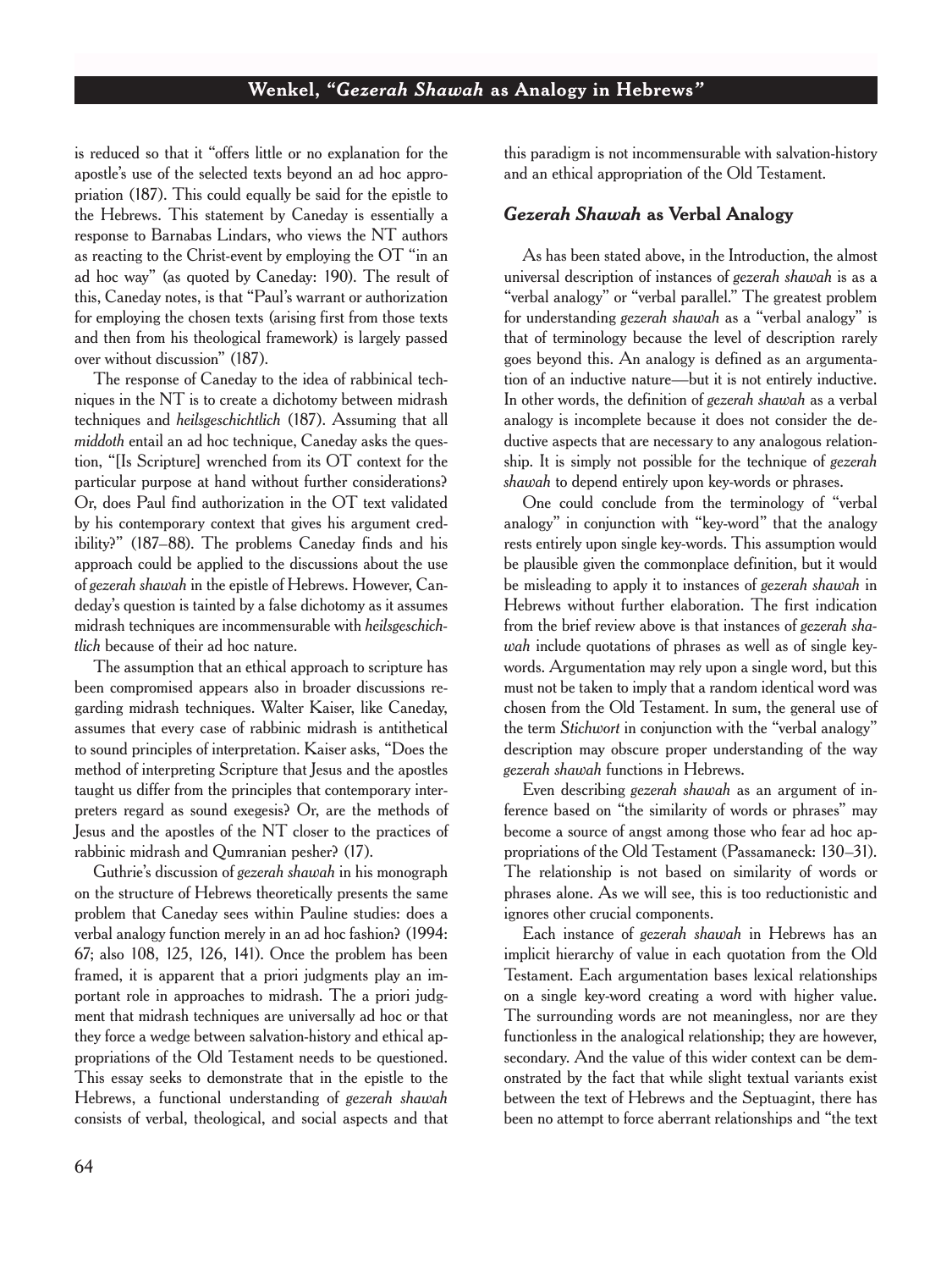is reduced so that it "offers little or no explanation for the apostle's use of the selected texts beyond an ad hoc appropriation (187). This could equally be said for the epistle to the Hebrews. This statement by Caneday is essentially a response to Barnabas Lindars, who views the NT authors as reacting to the Christ-event by employing the OT "in an ad hoc way" (as quoted by Caneday: 190). The result of this, Caneday notes, is that "Paul's warrant or authorization for employing the chosen texts (arising first from those texts and then from his theological framework) is largely passed over without discussion" (187).

The response of Caneday to the idea of rabbinical techniques in the NT is to create a dichotomy between midrash techniques and *heilsgeschichtlich* (187). Assuming that all *middoth* entail an ad hoc technique, Caneday asks the question, "[Is Scripture] wrenched from its OT context for the particular purpose at hand without further considerations? Or, does Paul find authorization in the OT text validated by his contemporary context that gives his argument credibility?" (187–88). The problems Caneday finds and his approach could be applied to the discussions about the use of *gezerah shawah* in the epistle of Hebrews. However, Candeday's question is tainted by a false dichotomy as it assumes midrash techniques are incommensurable with *heilsgeschichtlich* because of their ad hoc nature.

The assumption that an ethical approach to scripture has been compromised appears also in broader discussions regarding midrash techniques. Walter Kaiser, like Caneday, assumes that every case of rabbinic midrash is antithetical to sound principles of interpretation. Kaiser asks, "Does the method of interpreting Scripture that Jesus and the apostles taught us differ from the principles that contemporary interpreters regard as sound exegesis? Or, are the methods of Jesus and the apostles of the NT closer to the practices of rabbinic midrash and Qumranian pesher? (17).

Guthrie's discussion of *gezerah shawah* in his monograph on the structure of Hebrews theoretically presents the same problem that Caneday sees within Pauline studies: does a verbal analogy function merely in an ad hoc fashion? (1994: 67; also 108, 125, 126, 141). Once the problem has been framed, it is apparent that a priori judgments play an important role in approaches to midrash. The a priori judgment that midrash techniques are universally ad hoc or that they force a wedge between salvation-history and ethical appropriations of the Old Testament needs to be questioned. This essay seeks to demonstrate that in the epistle to the Hebrews, a functional understanding of *gezerah shawah* consists of verbal, theological, and social aspects and that this paradigm is not incommensurable with salvation-history and an ethical appropriation of the Old Testament.

#### *Gezerah Shawah* **as Verbal Analogy**

As has been stated above, in the Introduction, the almost universal description of instances of *gezerah shawah* is as a "verbal analogy" or "verbal parallel." The greatest problem for understanding *gezerah shawah* as a "verbal analogy" is that of terminology because the level of description rarely goes beyond this. An analogy is defined as an argumentation of an inductive nature—but it is not entirely inductive. In other words, the definition of *gezerah shawah* as a verbal analogy is incomplete because it does not consider the deductive aspects that are necessary to any analogous relationship. It is simply not possible for the technique of *gezerah shawah* to depend entirely upon key-words or phrases.

One could conclude from the terminology of "verbal analogy" in conjunction with "key-word" that the analogy rests entirely upon single key-words. This assumption would be plausible given the commonplace definition, but it would be misleading to apply it to instances of *gezerah shawah* in Hebrews without further elaboration. The first indication from the brief review above is that instances of *gezerah shawah* include quotations of phrases as well as of single keywords. Argumentation may rely upon a single word, but this must not be taken to imply that a random identical word was chosen from the Old Testament. In sum, the general use of the term *Stichwort* in conjunction with the "verbal analogy" description may obscure proper understanding of the way *gezerah shawah* functions in Hebrews.

Even describing *gezerah shawah* as an argument of inference based on "the similarity of words or phrases" may become a source of angst among those who fear ad hoc appropriations of the Old Testament (Passamaneck: 130–31). The relationship is not based on similarity of words or phrases alone. As we will see, this is too reductionistic and ignores other crucial components.

Each instance of *gezerah shawah* in Hebrews has an implicit hierarchy of value in each quotation from the Old Testament. Each argumentation bases lexical relationships on a single key-word creating a word with higher value. The surrounding words are not meaningless, nor are they functionless in the analogical relationship; they are however, secondary. And the value of this wider context can be demonstrated by the fact that while slight textual variants exist between the text of Hebrews and the Septuagint, there has been no attempt to force aberrant relationships and "the text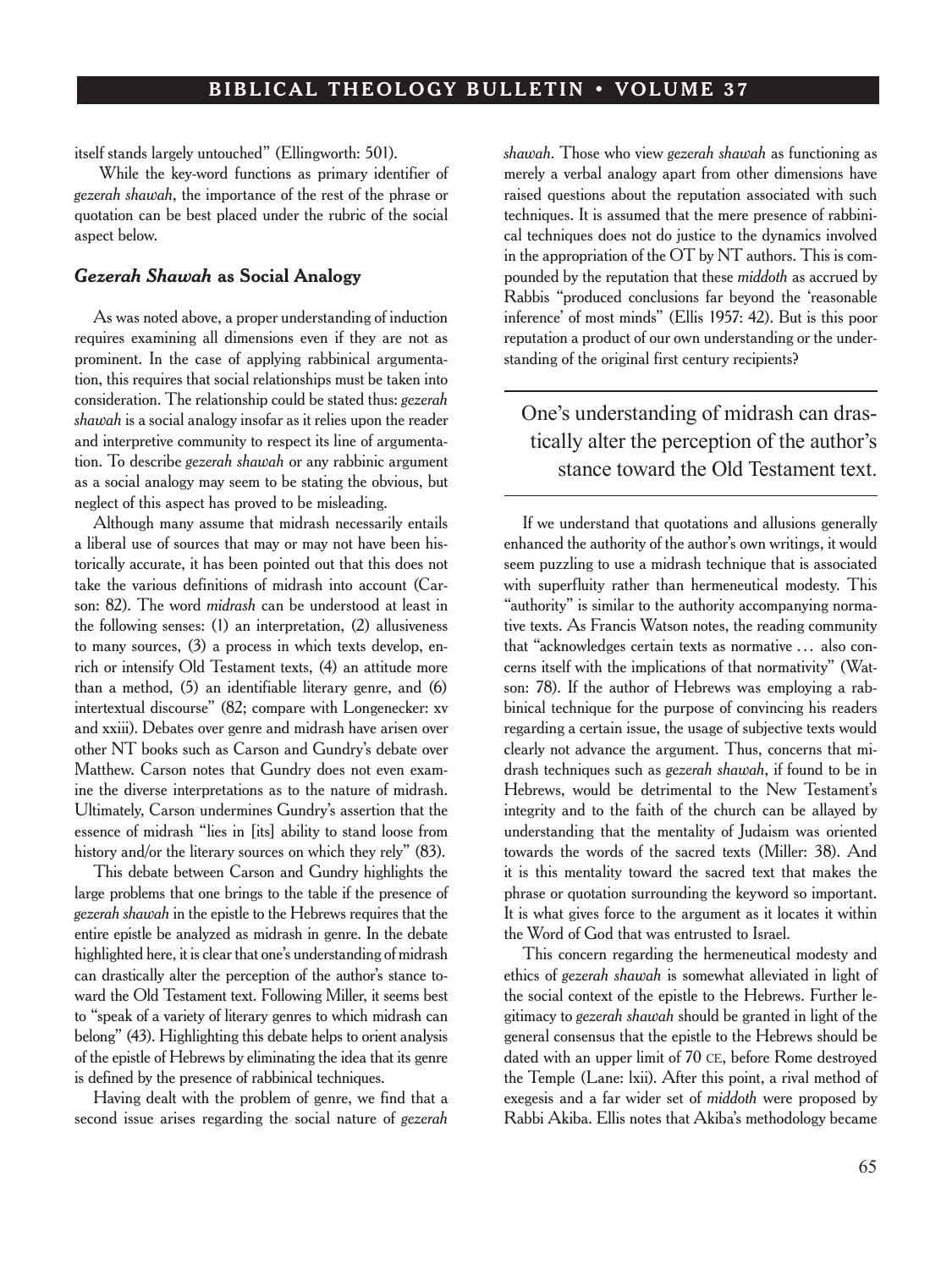itself stands largely untouched" (Ellingworth: 501).

 While the key-word functions as primary identifier of *gezerah shawah*, the importance of the rest of the phrase or quotation can be best placed under the rubric of the social aspect below.

## *Gezerah Shawah* **as Social Analogy**

As was noted above, a proper understanding of induction requires examining all dimensions even if they are not as prominent. In the case of applying rabbinical argumentation, this requires that social relationships must be taken into consideration. The relationship could be stated thus: *gezerah shawah* is a social analogy insofar as it relies upon the reader and interpretive community to respect its line of argumentation. To describe *gezerah shawah* or any rabbinic argument as a social analogy may seem to be stating the obvious, but neglect of this aspect has proved to be misleading.

Although many assume that midrash necessarily entails a liberal use of sources that may or may not have been historically accurate, it has been pointed out that this does not take the various definitions of midrash into account (Carson: 82). The word *midrash* can be understood at least in the following senses: (1) an interpretation, (2) allusiveness to many sources, (3) a process in which texts develop, enrich or intensify Old Testament texts, (4) an attitude more than a method, (5) an identifiable literary genre, and (6) intertextual discourse" (82; compare with Longenecker: xv and xxiii). Debates over genre and midrash have arisen over other NT books such as Carson and Gundry's debate over Matthew. Carson notes that Gundry does not even examine the diverse interpretations as to the nature of midrash. Ultimately, Carson undermines Gundry's assertion that the essence of midrash "lies in [its] ability to stand loose from history and/or the literary sources on which they rely" (83).

This debate between Carson and Gundry highlights the large problems that one brings to the table if the presence of *gezerah shawah* in the epistle to the Hebrews requires that the entire epistle be analyzed as midrash in genre. In the debate highlighted here, it is clear that one's understanding of midrash can drastically alter the perception of the author's stance toward the Old Testament text. Following Miller, it seems best to "speak of a variety of literary genres to which midrash can belong" (43). Highlighting this debate helps to orient analysis of the epistle of Hebrews by eliminating the idea that its genre is defined by the presence of rabbinical techniques.

Having dealt with the problem of genre, we find that a second issue arises regarding the social nature of *gezerah*  *shawah*. Those who view *gezerah shawah* as functioning as merely a verbal analogy apart from other dimensions have raised questions about the reputation associated with such techniques. It is assumed that the mere presence of rabbinical techniques does not do justice to the dynamics involved in the appropriation of the OT by NT authors. This is compounded by the reputation that these *middoth* as accrued by Rabbis "produced conclusions far beyond the 'reasonable inference' of most minds" (Ellis 1957: 42). But is this poor reputation a product of our own understanding or the understanding of the original first century recipients?

One's understanding of midrash can drastically alter the perception of the author's stance toward the Old Testament text.

If we understand that quotations and allusions generally enhanced the authority of the author's own writings, it would seem puzzling to use a midrash technique that is associated with superfluity rather than hermeneutical modesty. This "authority" is similar to the authority accompanying normative texts. As Francis Watson notes, the reading community that "acknowledges certain texts as normative ... also concerns itself with the implications of that normativity" (Watson: 78). If the author of Hebrews was employing a rabbinical technique for the purpose of convincing his readers regarding a certain issue, the usage of subjective texts would clearly not advance the argument. Thus, concerns that midrash techniques such as *gezerah shawah*, if found to be in Hebrews, would be detrimental to the New Testament's integrity and to the faith of the church can be allayed by understanding that the mentality of Judaism was oriented towards the words of the sacred texts (Miller: 38). And it is this mentality toward the sacred text that makes the phrase or quotation surrounding the keyword so important. It is what gives force to the argument as it locates it within the Word of God that was entrusted to Israel.

This concern regarding the hermeneutical modesty and ethics of *gezerah shawah* is somewhat alleviated in light of the social context of the epistle to the Hebrews. Further legitimacy to *gezerah shawah* should be granted in light of the general consensus that the epistle to the Hebrews should be dated with an upper limit of 70 ce, before Rome destroyed the Temple (Lane: lxii). After this point, a rival method of exegesis and a far wider set of *middoth* were proposed by Rabbi Akiba. Ellis notes that Akiba's methodology became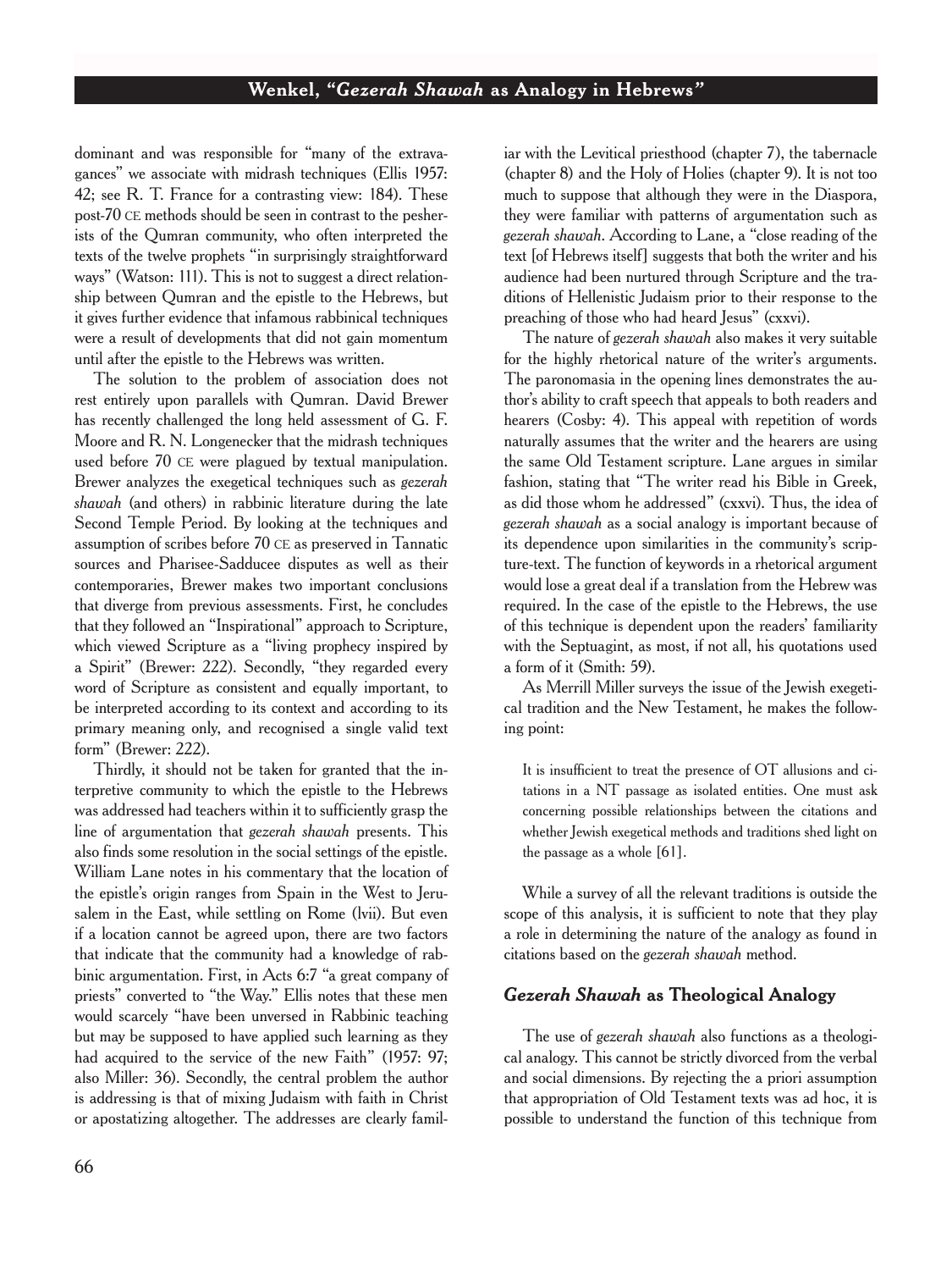dominant and was responsible for "many of the extravagances" we associate with midrash techniques (Ellis 1957: 42; see R. T. France for a contrasting view: 184). These post-70 CE methods should be seen in contrast to the pesherists of the Qumran community, who often interpreted the texts of the twelve prophets "in surprisingly straightforward ways" (Watson: 111). This is not to suggest a direct relationship between Qumran and the epistle to the Hebrews, but it gives further evidence that infamous rabbinical techniques were a result of developments that did not gain momentum until after the epistle to the Hebrews was written.

The solution to the problem of association does not rest entirely upon parallels with Qumran. David Brewer has recently challenged the long held assessment of G. F. Moore and R. N. Longenecker that the midrash techniques used before 70 CE were plagued by textual manipulation. Brewer analyzes the exegetical techniques such as *gezerah shawah* (and others) in rabbinic literature during the late Second Temple Period. By looking at the techniques and assumption of scribes before 70 ce as preserved in Tannatic sources and Pharisee-Sadducee disputes as well as their contemporaries, Brewer makes two important conclusions that diverge from previous assessments. First, he concludes that they followed an "Inspirational" approach to Scripture, which viewed Scripture as a "living prophecy inspired by a Spirit" (Brewer: 222). Secondly, "they regarded every word of Scripture as consistent and equally important, to be interpreted according to its context and according to its primary meaning only, and recognised a single valid text form" (Brewer: 222).

Thirdly, it should not be taken for granted that the interpretive community to which the epistle to the Hebrews was addressed had teachers within it to sufficiently grasp the line of argumentation that *gezerah shawah* presents. This also finds some resolution in the social settings of the epistle. William Lane notes in his commentary that the location of the epistle's origin ranges from Spain in the West to Jerusalem in the East, while settling on Rome (lvii). But even if a location cannot be agreed upon, there are two factors that indicate that the community had a knowledge of rabbinic argumentation. First, in Acts 6:7 "a great company of priests" converted to "the Way." Ellis notes that these men would scarcely "have been unversed in Rabbinic teaching but may be supposed to have applied such learning as they had acquired to the service of the new Faith" (1957: 97; also Miller: 36). Secondly, the central problem the author is addressing is that of mixing Judaism with faith in Christ or apostatizing altogether. The addresses are clearly familiar with the Levitical priesthood (chapter 7), the tabernacle (chapter 8) and the Holy of Holies (chapter 9). It is not too much to suppose that although they were in the Diaspora, they were familiar with patterns of argumentation such as *gezerah shawah*. According to Lane, a "close reading of the text [of Hebrews itself] suggests that both the writer and his audience had been nurtured through Scripture and the traditions of Hellenistic Judaism prior to their response to the preaching of those who had heard Jesus" (cxxvi).

The nature of *gezerah shawah* also makes it very suitable for the highly rhetorical nature of the writer's arguments. The paronomasia in the opening lines demonstrates the author's ability to craft speech that appeals to both readers and hearers (Cosby: 4). This appeal with repetition of words naturally assumes that the writer and the hearers are using the same Old Testament scripture. Lane argues in similar fashion, stating that "The writer read his Bible in Greek, as did those whom he addressed" (cxxvi). Thus, the idea of *gezerah shawah* as a social analogy is important because of its dependence upon similarities in the community's scripture-text. The function of keywords in a rhetorical argument would lose a great deal if a translation from the Hebrew was required. In the case of the epistle to the Hebrews, the use of this technique is dependent upon the readers' familiarity with the Septuagint, as most, if not all, his quotations used a form of it (Smith: 59).

As Merrill Miller surveys the issue of the Jewish exegetical tradition and the New Testament, he makes the following point:

It is insufficient to treat the presence of OT allusions and citations in a NT passage as isolated entities. One must ask concerning possible relationships between the citations and whether Jewish exegetical methods and traditions shed light on the passage as a whole [61].

While a survey of all the relevant traditions is outside the scope of this analysis, it is sufficient to note that they play a role in determining the nature of the analogy as found in citations based on the *gezerah shawah* method.

## *Gezerah Shawah* **as Theological Analogy**

The use of *gezerah shawah* also functions as a theological analogy. This cannot be strictly divorced from the verbal and social dimensions. By rejecting the a priori assumption that appropriation of Old Testament texts was ad hoc, it is possible to understand the function of this technique from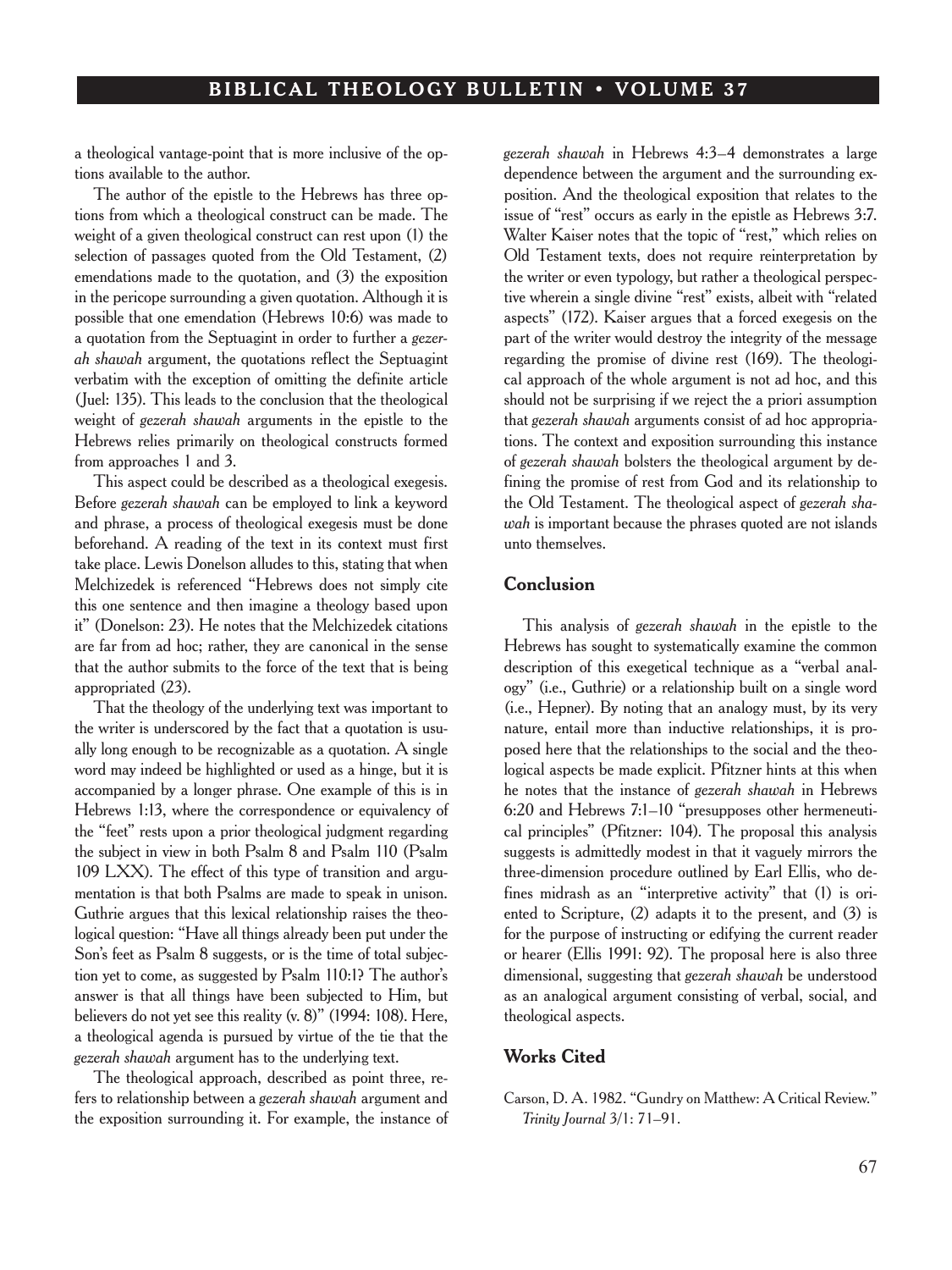a theological vantage-point that is more inclusive of the options available to the author.

The author of the epistle to the Hebrews has three options from which a theological construct can be made. The weight of a given theological construct can rest upon (1) the selection of passages quoted from the Old Testament, (2) emendations made to the quotation, and (3) the exposition in the pericope surrounding a given quotation. Although it is possible that one emendation (Hebrews 10:6) was made to a quotation from the Septuagint in order to further a *gezerah shawah* argument, the quotations reflect the Septuagint verbatim with the exception of omitting the definite article (Juel: 135). This leads to the conclusion that the theological weight of *gezerah shawah* arguments in the epistle to the Hebrews relies primarily on theological constructs formed from approaches 1 and 3.

This aspect could be described as a theological exegesis. Before *gezerah shawah* can be employed to link a keyword and phrase, a process of theological exegesis must be done beforehand. A reading of the text in its context must first take place. Lewis Donelson alludes to this, stating that when Melchizedek is referenced "Hebrews does not simply cite this one sentence and then imagine a theology based upon it" (Donelson: 23). He notes that the Melchizedek citations are far from ad hoc; rather, they are canonical in the sense that the author submits to the force of the text that is being appropriated (23).

That the theology of the underlying text was important to the writer is underscored by the fact that a quotation is usually long enough to be recognizable as a quotation. A single word may indeed be highlighted or used as a hinge, but it is accompanied by a longer phrase. One example of this is in Hebrews 1:13, where the correspondence or equivalency of the "feet" rests upon a prior theological judgment regarding the subject in view in both Psalm 8 and Psalm 110 (Psalm 109 LXX). The effect of this type of transition and argumentation is that both Psalms are made to speak in unison. Guthrie argues that this lexical relationship raises the theological question: "Have all things already been put under the Son's feet as Psalm 8 suggests, or is the time of total subjection yet to come, as suggested by Psalm 110:1? The author's answer is that all things have been subjected to Him, but believers do not yet see this reality (v. 8)" (1994: 108). Here, a theological agenda is pursued by virtue of the tie that the *gezerah shawah* argument has to the underlying text.

The theological approach, described as point three, refers to relationship between a *gezerah shawah* argument and the exposition surrounding it. For example, the instance of *gezerah shawah* in Hebrews 4:3–4 demonstrates a large dependence between the argument and the surrounding exposition. And the theological exposition that relates to the issue of "rest" occurs as early in the epistle as Hebrews 3:7. Walter Kaiser notes that the topic of "rest," which relies on Old Testament texts, does not require reinterpretation by the writer or even typology, but rather a theological perspective wherein a single divine "rest" exists, albeit with "related aspects" (172). Kaiser argues that a forced exegesis on the part of the writer would destroy the integrity of the message regarding the promise of divine rest (169). The theological approach of the whole argument is not ad hoc, and this should not be surprising if we reject the a priori assumption that *gezerah shawah* arguments consist of ad hoc appropriations. The context and exposition surrounding this instance of *gezerah shawah* bolsters the theological argument by defining the promise of rest from God and its relationship to the Old Testament. The theological aspect of *gezerah shawah* is important because the phrases quoted are not islands unto themselves.

#### **Conclusion**

This analysis of *gezerah shawah* in the epistle to the Hebrews has sought to systematically examine the common description of this exegetical technique as a "verbal analogy" (i.e., Guthrie) or a relationship built on a single word (i.e., Hepner). By noting that an analogy must, by its very nature, entail more than inductive relationships, it is proposed here that the relationships to the social and the theological aspects be made explicit. Pfitzner hints at this when he notes that the instance of *gezerah shawah* in Hebrews 6:20 and Hebrews 7:1–10 "presupposes other hermeneutical principles" (Pfitzner: 104). The proposal this analysis suggests is admittedly modest in that it vaguely mirrors the three-dimension procedure outlined by Earl Ellis, who defines midrash as an "interpretive activity" that (1) is oriented to Scripture, (2) adapts it to the present, and (3) is for the purpose of instructing or edifying the current reader or hearer (Ellis 1991: 92). The proposal here is also three dimensional, suggesting that *gezerah shawah* be understood as an analogical argument consisting of verbal, social, and theological aspects.

## **Works Cited**

Carson, D. A. 1982. "Gundry on Matthew: A Critical Review." *Trinity Journal* 3/1: 71–91.